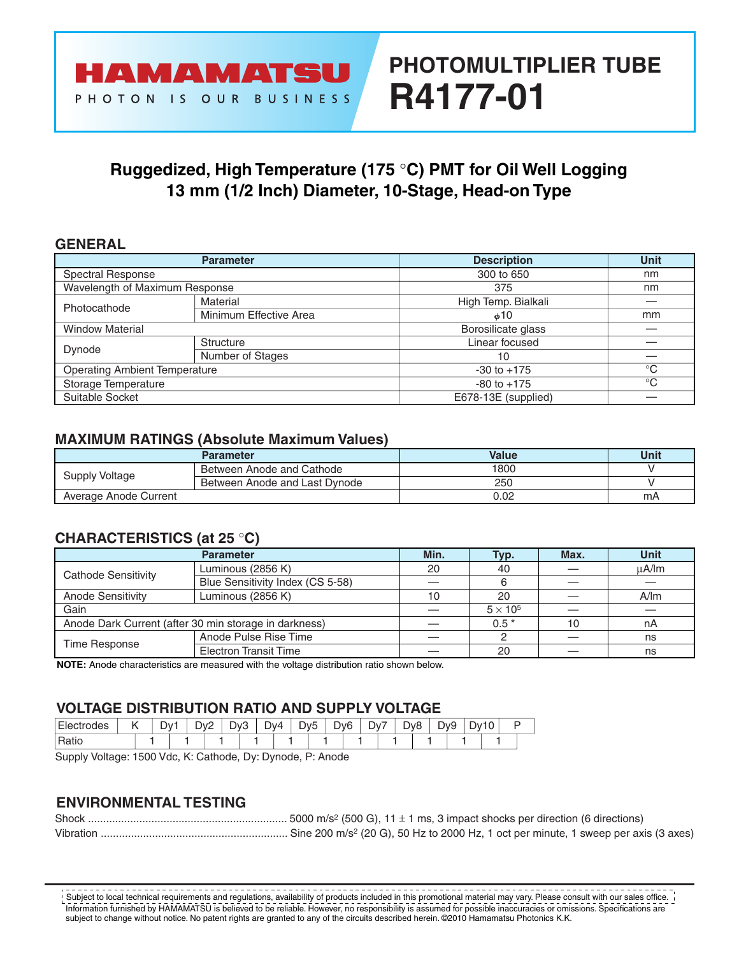# **PHOTOMULTIPLIER TUBE R4177-01**

### **Ruggedized, High Temperature (175** °**C) PMT for Oil Well Logging 13 mm (1/2 Inch) Diameter, 10-Stage, Head-on Type**

#### **GENERAL**

|                                      | <b>Parameter</b>       | <b>Description</b>  | <b>Unit</b>  |
|--------------------------------------|------------------------|---------------------|--------------|
| Spectral Response                    |                        | 300 to 650          | nm           |
| Wavelength of Maximum Response       |                        | 375                 | nm           |
| Photocathode                         | Material               | High Temp. Bialkali |              |
|                                      | Minimum Effective Area | $\phi$ 10           | mm           |
| <b>Window Material</b>               |                        | Borosilicate glass  |              |
|                                      | Structure              | Linear focused      |              |
| Dynode                               | Number of Stages       | 10                  |              |
| <b>Operating Ambient Temperature</b> |                        | $-30$ to $+175$     | $^{\circ}C$  |
| Storage Temperature                  |                        | $-80$ to $+175$     | $^{\circ}$ C |
| Suitable Socket                      |                        | E678-13E (supplied) |              |

#### **MAXIMUM RATINGS (Absolute Maximum Values)**

|                       | Parameter                     | Value | Unit |
|-----------------------|-------------------------------|-------|------|
| Supply Voltage        | Between Anode and Cathode     | 1800  |      |
|                       | Between Anode and Last Dynode | 250   |      |
| Average Anode Current |                               | 0.02  | mA   |

#### **CHARACTERISTICS (at 25** °**C)**

|                          | <b>Parameter</b>                                      | Min. | Typ.            | Max. | <b>Unit</b> |  |
|--------------------------|-------------------------------------------------------|------|-----------------|------|-------------|--|
| Cathode Sensitivity      | Luminous (2856 K)                                     | 20   | 40              |      | uA/lm       |  |
|                          | Blue Sensitivity Index (CS 5-58)                      |      |                 |      |             |  |
| <b>Anode Sensitivity</b> | Luminous (2856 K)                                     | 10   | 20              |      | A/m         |  |
| Gain                     |                                                       |      | $5 \times 10^5$ |      |             |  |
|                          | Anode Dark Current (after 30 min storage in darkness) |      | $0.5*$          | 10   | nA          |  |
| Time Response            | Anode Pulse Rise Time                                 |      |                 |      | ns          |  |
|                          | <b>Electron Transit Time</b>                          |      | 20              |      | ns          |  |

**NOTE:** Anode characteristics are measured with the voltage distribution ratio shown below.

#### **VOLTAGE DISTRIBUTION RATIO AND SUPPLY VOLTAGE**

| $\overline{\phantom{a}}$<br>odes | . . | м | $.$ $\mathcal{W}^{\mathcal{C}}$<br>◡<br>- | ר.∕ר<br>ັ | $\overline{\phantom{a}}$ | Dv4 |  | ל∨ר | λν6<br>ັ | –<br>יע | - | Dv8 | ∼ | D.<br>- ۷۷ ب |  | $\sim$<br>10 |  |
|----------------------------------|-----|---|-------------------------------------------|-----------|--------------------------|-----|--|-----|----------|---------|---|-----|---|--------------|--|--------------|--|
| ιαιιι                            |     |   |                                           |           |                          |     |  |     |          |         |   |     |   |              |  |              |  |

Supply Voltage: 1500 Vdc, K: Cathode, Dy: Dynode, P: Anode

#### **ENVIRONMENTAL TESTING**

Information furnished by HAMAMATSU is believed to be reliable. However, no responsibility is assumed for possible inaccuracies or omissions. Specifications are subject to change without notice. No patent rights are granted to any of the circuits described herein. ©2010 Hamamatsu Photonics K.K. Subject to local technical requirements and regulations, availability of products included in this promotional material may vary. Please consult with our sales office.